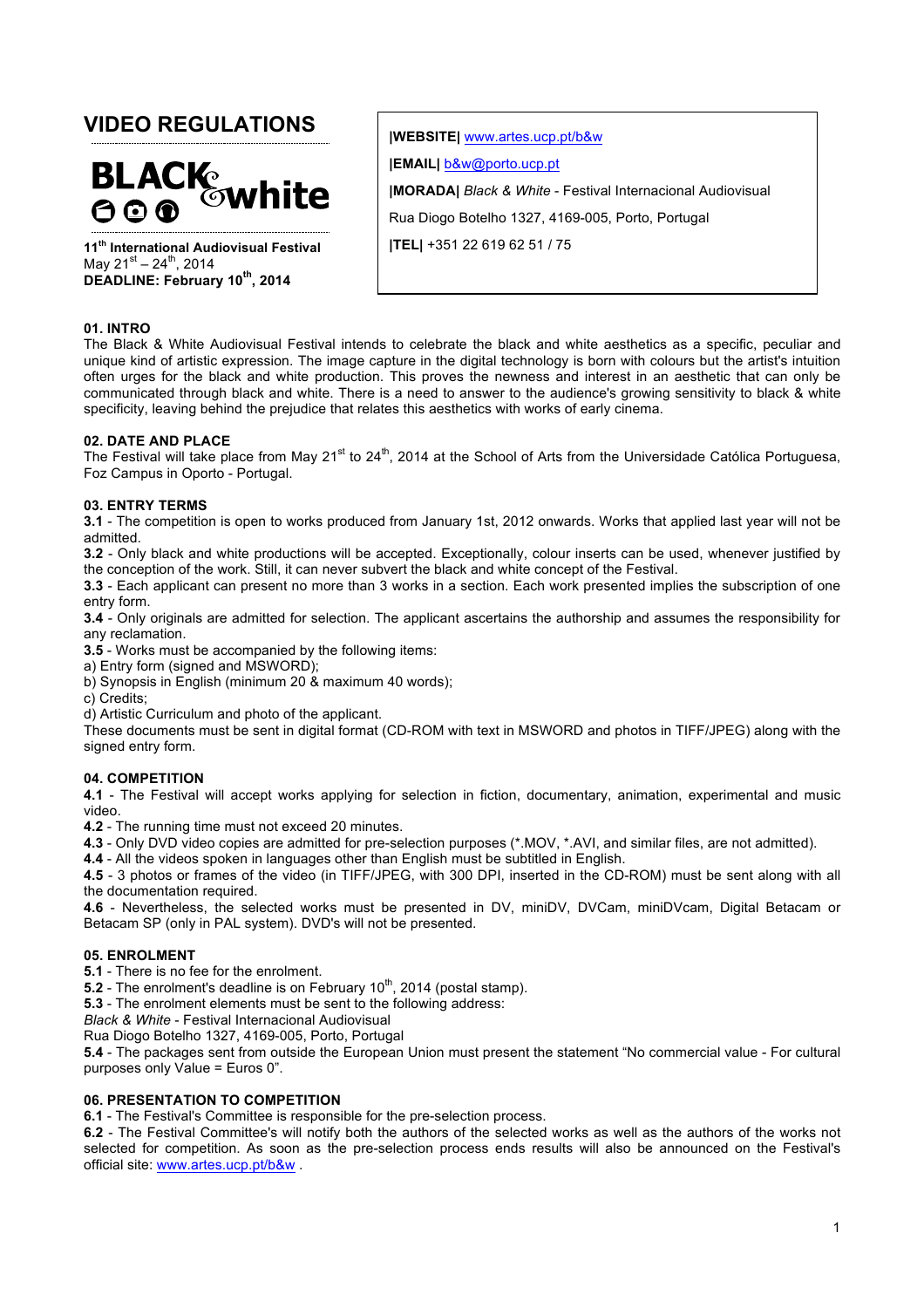# **VIDEO REGULATIONS**



**11th International Audiovisual Festival** May  $21^{st} - 24^{th}$ , 2014 **DEADLINE: February 10th, 2014**

**|WEBSITE|** www.artes.ucp.pt/b&w **|EMAIL|** b&w@porto.ucp.pt **|MORADA|** *Black & White* - Festival Internacional Audiovisual Rua Diogo Botelho 1327, 4169-005, Porto, Portugal **|TEL|** +351 22 619 62 51 / 75

#### **01. INTRO**

The Black & White Audiovisual Festival intends to celebrate the black and white aesthetics as a specific, peculiar and unique kind of artistic expression. The image capture in the digital technology is born with colours but the artist's intuition often urges for the black and white production. This proves the newness and interest in an aesthetic that can only be communicated through black and white. There is a need to answer to the audience's growing sensitivity to black & white specificity, leaving behind the prejudice that relates this aesthetics with works of early cinema.

#### **02. DATE AND PLACE**

The Festival will take place from May 21<sup>st</sup> to 24<sup>th</sup>, 2014 at the School of Arts from the Universidade Católica Portuguesa, Foz Campus in Oporto - Portugal.

## **03. ENTRY TERMS**

**3.1** - The competition is open to works produced from January 1st, 2012 onwards. Works that applied last year will not be admitted.

**3.2** - Only black and white productions will be accepted. Exceptionally, colour inserts can be used, whenever justified by the conception of the work. Still, it can never subvert the black and white concept of the Festival.

**3.3** - Each applicant can present no more than 3 works in a section. Each work presented implies the subscription of one entry form.

**3.4** - Only originals are admitted for selection. The applicant ascertains the authorship and assumes the responsibility for any reclamation.

**3.5** - Works must be accompanied by the following items:

a) Entry form (signed and MSWORD);

b) Synopsis in English (minimum 20 & maximum 40 words);

c) Credits;

d) Artistic Curriculum and photo of the applicant.

These documents must be sent in digital format (CD-ROM with text in MSWORD and photos in TIFF/JPEG) along with the signed entry form.

#### **04. COMPETITION**

**4.1** - The Festival will accept works applying for selection in fiction, documentary, animation, experimental and music video.

**4.2** - The running time must not exceed 20 minutes.

**4.3** - Only DVD video copies are admitted for pre-selection purposes (\*.MOV, \*.AVI, and similar files, are not admitted).

**4.4** - All the videos spoken in languages other than English must be subtitled in English.

**4.5** - 3 photos or frames of the video (in TIFF/JPEG, with 300 DPI, inserted in the CD-ROM) must be sent along with all the documentation required.

**4.6** - Nevertheless, the selected works must be presented in DV, miniDV, DVCam, miniDVcam, Digital Betacam or Betacam SP (only in PAL system). DVD's will not be presented.

#### **05. ENROLMENT**

**5.1** - There is no fee for the enrolment.

**5.2** - The enrolment's deadline is on February  $10^{th}$ , 2014 (postal stamp).

**5.3** - The enrolment elements must be sent to the following address:

*Black & White* - Festival Internacional Audiovisual

Rua Diogo Botelho 1327, 4169-005, Porto, Portugal

**5.4** - The packages sent from outside the European Union must present the statement "No commercial value - For cultural purposes only Value = Euros 0".

#### **06. PRESENTATION TO COMPETITION**

**6.1** - The Festival's Committee is responsible for the pre-selection process.

**6.2** - The Festival Committee's will notify both the authors of the selected works as well as the authors of the works not selected for competition. As soon as the pre-selection process ends results will also be announced on the Festival's official site: www.artes.ucp.pt/b&w .